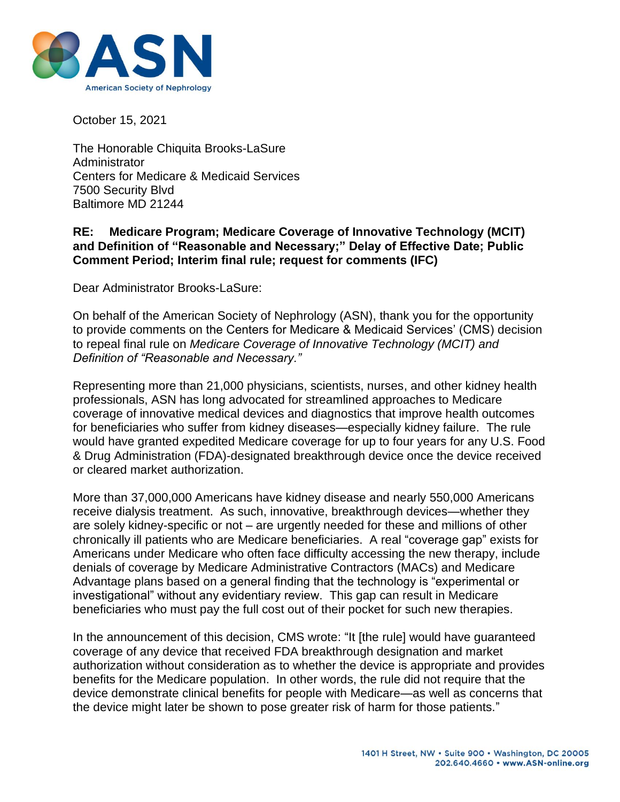

October 15, 2021

The Honorable Chiquita Brooks-LaSure Administrator Centers for Medicare & Medicaid Services 7500 Security Blvd Baltimore MD 21244

## **RE: Medicare Program; Medicare Coverage of Innovative Technology (MCIT) and Definition of "Reasonable and Necessary;" Delay of Effective Date; Public Comment Period; Interim final rule; request for comments (IFC)**

Dear Administrator Brooks-LaSure:

On behalf of the American Society of Nephrology (ASN), thank you for the opportunity to provide comments on the Centers for Medicare & Medicaid Services' (CMS) decision to repeal final rule on *Medicare Coverage of Innovative Technology (MCIT) and Definition of "Reasonable and Necessary."*

Representing more than 21,000 physicians, scientists, nurses, and other kidney health professionals, ASN has long advocated for streamlined approaches to Medicare coverage of innovative medical devices and diagnostics that improve health outcomes for beneficiaries who suffer from kidney diseases—especially kidney failure. The rule would have granted expedited Medicare coverage for up to four years for any U.S. Food & Drug Administration (FDA)-designated breakthrough device once the device received or cleared market authorization.

More than 37,000,000 Americans have kidney disease and nearly 550,000 Americans receive dialysis treatment. As such, innovative, breakthrough devices—whether they are solely kidney-specific or not – are urgently needed for these and millions of other chronically ill patients who are Medicare beneficiaries. A real "coverage gap" exists for Americans under Medicare who often face difficulty accessing the new therapy, include denials of coverage by Medicare Administrative Contractors (MACs) and Medicare Advantage plans based on a general finding that the technology is "experimental or investigational" without any evidentiary review. This gap can result in Medicare beneficiaries who must pay the full cost out of their pocket for such new therapies.

In the announcement of this decision, CMS wrote: "It [the rule] would have guaranteed coverage of any device that received FDA breakthrough designation and market authorization without consideration as to whether the device is appropriate and provides benefits for the Medicare population. In other words, the rule did not require that the device demonstrate clinical benefits for people with Medicare—as well as concerns that the device might later be shown to pose greater risk of harm for those patients."